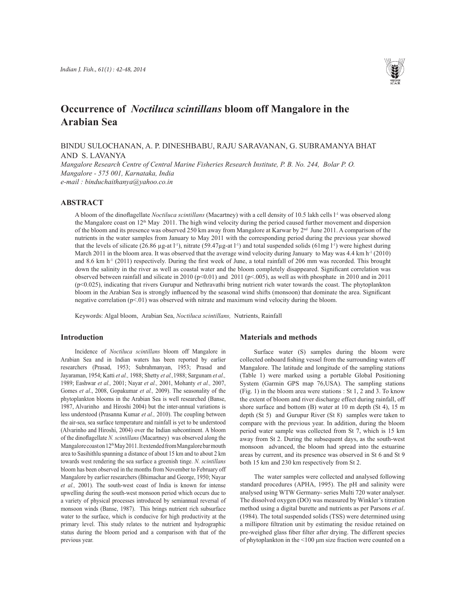

# **Occurrence of** *Noctiluca scintillans* **bloom off Mangalore in the Arabian Sea**

BINDU SULOCHANAN, A. P. DINESHBABU, RAJU SARAVANAN, G. SUBRAMANYA BHAT AND S. LAVANYA

*Mangalore Research Centre of Central Marine Fisheries Research Institute, P. B. No. 244, Bolar P. O. Mangalore - 575 001, Karnataka, India e-mail : binduchaithanya@yahoo.co.in*

### **ABSTRACT**

A bloom of the dinoflagellate *Noctiluca scintillans* (Macartney) with a cell density of 10.5 lakh cells l<sup>-1</sup> was observed along the Mangalore coast on  $12<sup>th</sup>$  May 2011. The high wind velocity during the period caused further movement and dispersion of the bloom and its presence was observed 250 km away from Mangalore at Karwar by 2nd June 2011. A comparison of the nutrients in the water samples from January to May 2011 with the corresponding period during the previous year showed that the levels of silicate (26.86 µg-at l<sup>-1</sup>), nitrate (59.47µg-at l<sup>-1</sup>) and total suspended solids (61mg l<sup>-1</sup>) were highest during March 2011 in the bloom area. It was observed that the average wind velocity during January to May was  $4.4 \text{ km h}^{-1}$  (2010) and 8.6 km  $h^{-1}$  (2011) respectively. During the first week of June, a total rainfall of 206 mm was recorded. This brought down the salinity in the river as well as coastal water and the bloom completely disappeared. Significant correlation was observed between rainfall and silicate in 2010 ( $p<0.01$ ) and 2011 ( $p<0.05$ ), as well as with phosphate in 2010 and in 2011 (p<0.025), indicating that rivers Gurupur and Nethravathi bring nutrient rich water towards the coast. The phytoplankton bloom in the Arabian Sea is strongly influenced by the seasonal wind shifts (monsoon) that dominate the area. Significant negative correlation (p<.01) was observed with nitrate and maximum wind velocity during the bloom.

Keywords: Algal bloom, Arabian Sea, *Noctiluca scintillans,* Nutrients, Rainfall

### **Introduction**

Incidence of *Noctiluca scintillans* bloom off Mangalore in Arabian Sea and in Indian waters has been reported by earlier researchers (Prasad, 1953; Subrahmanyan, 1953; Prasad and Jayaraman, 1954; Katti *et al.,* 1988; Shetty *et al.,*1988; Sargunam *et al.,*  1989; Eashwar *et al.,* 2001; Nayar *et al.,* 2001, Mohanty *et al.,* 2007, Gomes *et al*., 2008, Gopakumar *et al.,* 2009). The seasonality of the phytoplankton blooms in the Arabian Sea is well researched (Banse, 1987, Alvarinho and Hiroshi 2004) but the inter-annual variations is less understood (Prasanna Kumar *et al.,* 2010). The coupling between the air-sea, sea surface temperature and rainfall is yet to be understood (Alvarinho and Hiroshi, 2004) over the Indian subcontinent. A bloom of the dinoflagellate *N. scintillans* (Macartney) was observed along the Mangalore coast on  $12<sup>th</sup>$  May 2011. It extended from Mangalore bar mouth area to Sasihithlu spanning a distance of about 15 km and to about 2 km towards west rendering the sea surface a greenish tinge. *N. scintillans* bloom has been observed in the months from November to February off Mangalore by earlier researchers (Bhimachar and George, 1950; Nayar *et al.,* 2001). The south-west coast of India is known for intense upwelling during the south-west monsoon period which occurs due to a variety of physical processes introduced by semiannual reversal of monsoon winds (Banse, 1987). This brings nutrient rich subsurface water to the surface, which is conducive for high productivity at the primary level. This study relates to the nutrient and hydrographic status during the bloom period and a comparison with that of the previous year.

#### **Materials and methods**

Surface water (S) samples during the bloom were collected onboard fishing vessel from the surrounding waters off Mangalore. The latitude and longitude of the sampling stations (Table 1) were marked using a portable Global Positioning System (Garmin GPS map 76,USA). The sampling stations (Fig. 1) in the bloom area were stations : St 1, 2 and 3. To know the extent of bloom and river discharge effect during rainfall, off shore surface and bottom (B) water at 10 m depth (St 4), 15 m depth (St 5) and Gurupur River (St 8) samples were taken to compare with the previous year. In addition, during the bloom period water sample was collected from St 7, which is 15 km away from St 2. During the subsequent days, as the south-west monsoon advanced, the bloom had spread into the estuarine areas by current, and its presence was observed in St 6 and St 9 both 15 km and 230 km respectively from St 2.

The water samples were collected and analysed following standard procedures (APHA, 1995). The pH and salinity were analysed using WTW Germany- series Multi 720 water analyser. The dissolved oxygen (DO) was measured by Winkler's titration method using a digital burette and nutrients as per Parsons *et al*. (1984). The total suspended solids (TSS) were determined using a millipore filtration unit by estimating the residue retained on pre-weighed glass fiber filter after drying. The different species of phytoplankton in the <100 μm size fraction were counted on a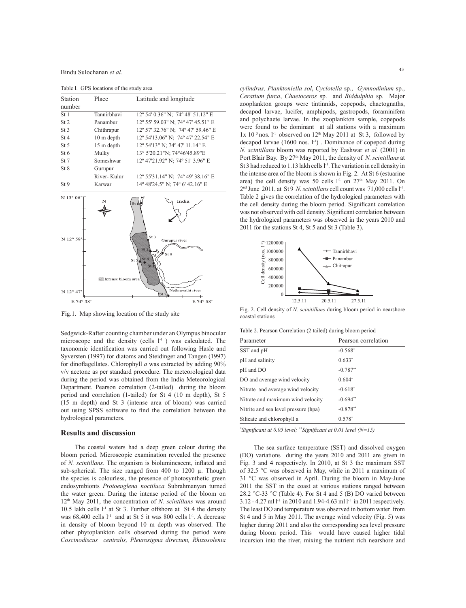Bindu Sulochanan *et al.*

Table l. GPS locations of the study area

| Station                 | Place                   | Latitude and longitude                                                                    |  |  |  |  |
|-------------------------|-------------------------|-------------------------------------------------------------------------------------------|--|--|--|--|
| number                  |                         |                                                                                           |  |  |  |  |
| St <sub>1</sub>         | Tannirbhavi             | 12° 54' 0.36" N; 74° 48' 51.12" E                                                         |  |  |  |  |
| St <sub>2</sub>         | Panambur                | 12° 55' 59.03" N; 74° 47' 45.51" E                                                        |  |  |  |  |
| St <sub>3</sub>         | Chithrapur              | 12° 57' 32.76" N; 74° 47' 59.46" E                                                        |  |  |  |  |
| St <sub>4</sub>         | 10 m depth              | 12° 54'13.06" N; 74° 47' 22.54" E                                                         |  |  |  |  |
| St <sub>5</sub>         | 15 m depth              | 12° 54'13" N; 74° 47' 11.14" E                                                            |  |  |  |  |
| St 6                    | Mulky                   | 13° 5'20.21"N; 74°46'45.89"E                                                              |  |  |  |  |
| St 7                    | Someshwar               | 12° 47'21.92" N; 74° 51' 3.96" E                                                          |  |  |  |  |
| St 8                    | Gurupur                 |                                                                                           |  |  |  |  |
|                         | River-Kulur             | 12° 55'31.14" N; 74° 49' 38.16" E                                                         |  |  |  |  |
| St <sub>9</sub>         | Karwar                  | 14° 48'24.5" N; 74° 6' 42.16" E                                                           |  |  |  |  |
| N 13° 06'<br>N 12° 58'- | N<br>Intense bloom area | India<br>St 6<br>St <sub>3</sub><br>Gurupur river<br>St <sub>2</sub><br>St 8<br>St4<br>St |  |  |  |  |
| N 12° 47'               |                         | Nethravathi river<br>St                                                                   |  |  |  |  |
| E 74° 38'               |                         | E 74° 58'                                                                                 |  |  |  |  |

Fig.1. Map showing location of the study site

Sedgwick-Rafter counting chamber under an Olympus binocular microscope and the density (cells  $l<sup>-1</sup>$ ) was calculated. The taxonomic identification was carried out following Hasle and Syversten (1997) for diatoms and Steidinger and Tangen (1997) for dinoflagellates. Chlorophyll *a* was extracted by adding 90% v/v acetone as per standard procedure. The meteorological data during the period was obtained from the India Meteorological Department. Pearson correlation (2-tailed) during the bloom period and correlation (1-tailed) for St 4 (10 m depth), St 5 (15 m depth) and St 3 (intense area of bloom) was carried out using SPSS software to find the correlation between the hydrological parameters.

#### **Results and discussion**

The coastal waters had a deep green colour during the bloom period. Microscopic examination revealed the presence of *N. scintillans*. The organism is bioluminescent, inflated and sub-spherical. The size ranged from 400 to 1200  $\mu$ . Though the species is colourless, the presence of photosynthetic green endosymbionts *Protoeuglena noctiluca* Subrahmanyan turned the water green. During the intense period of the bloom on 12th May 2011, the concentration of *N. scintillans* was around 10.5 lakh cells  $l<sup>-1</sup>$  at St 3. Further offshore at St 4 the density was  $68,400$  cells  $l<sup>-1</sup>$  and at St 5 it was  $800$  cells  $l<sup>-1</sup>$ . A decrease in density of bloom beyond 10 m depth was observed. The other phytoplankton cells observed during the period were *Coscinodiscus centralis, Pleurosigma directum, Rhizosolenia* 

*cylindrus, Planktoniella sol*, *Cyclotella* sp., *Gymnodinium* sp., *Ceratium furca*, *Chaetoceros* sp. and *Biddulphia* sp. Major zooplankton groups were tintinnids, copepods, chaetognaths, decapod larvae, lucifer, amphipods, gastropods, foraminifera and polychaete larvae. In the zooplankton sample, copepods were found to be dominant at all stations with a maximum 1x 10<sup>5</sup> nos.  $l^{-1}$  observed on 12<sup>th</sup> May 2011 at St 3, followed by decapod larvae (1600 nos. l<sup>-1</sup>). Dominance of copepod during *N. scintillans* bloom was reported by Eashwar *et al.* (2001) in Port Blair Bay. By 27th May 2011, the density of *N. scintillans* at St 3 had reduced to 1.13 lakh cells l<sup>-1</sup>. The variation in cell density in the intense area of the bloom is shown in Fig. 2. At St 6 (estuarine area) the cell density was 50 cells  $l<sup>-1</sup>$  on 27<sup>th</sup> May 2011. On 2nd June 2011, at St 9 *N. scintillans* cell count was 71,000 cells l-1. Table 2 gives the correlation of the hydrological parameters with the cell density during the bloom period. Significant correlation was not observed with cell density. Significant correlation between the hydrological parameters was observed in the years 2010 and 2011 for the stations St 4, St 5 and St 3 (Table 3).



Fig. 2. Cell density of *N. scinitillans* during bloom period in nearshore coastal stations

| Table 2. Pearson Correlation (2 tailed) during bloom period |  |  |
|-------------------------------------------------------------|--|--|
|-------------------------------------------------------------|--|--|

| Parameter                            | Pearson correlation |
|--------------------------------------|---------------------|
| SST and pH                           | $-0.568*$           |
| pH and salinity                      | $0.633*$            |
| pH and DO                            | $-0.787**$          |
| DO and average wind velocity         | $0.604*$            |
| Nitrate and average wind velocity    | $-0.618*$           |
| Nitrate and maximum wind velocity    | $-0.694**$          |
| Nitrite and sea level pressure (hpa) | $-0.878**$          |
| Silicate and chlorophyll a           | $0.578*$            |

*\* Significant at 0.05 level; \*\*Significant at 0.01 level (N=15)*

The sea surface temperature (SST) and dissolved oxygen (DO) variations during the years 2010 and 2011 are given in Fig. 3 and 4 respectively. In 2010, at St 3 the maximum SST of 32.5 °C was observed in May, while in 2011 a maximum of 31 °C was observed in April. During the bloom in May-June 2011 the SST in the coast at various stations ranged between 28.2 °C-33 °C (Table 4). For St 4 and 5 (B) DO varied between 3.12 - 4.27 ml l<sup>-1</sup> in 2010 and 1.94-4.63 ml l<sup>-1</sup> in 2011 respectively. The least DO and temperature was observed in bottom water from St 4 and 5 in May 2011. The average wind velocity (Fig. 5) was higher during 2011 and also the corresponding sea level pressure during bloom period. This would have caused higher tidal incursion into the river, mixing the nutrient rich nearshore and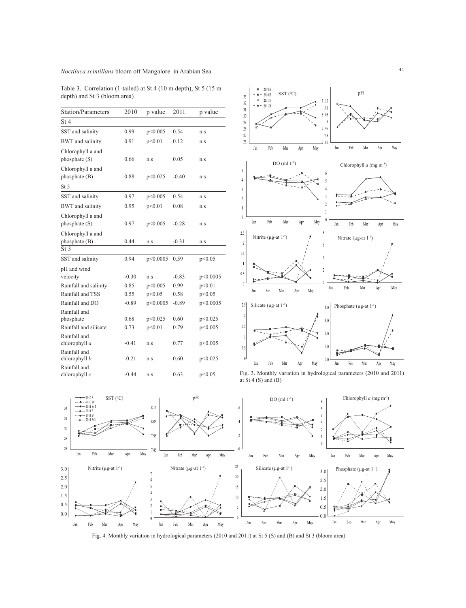# <sup>44</sup> *Noctiluca scintillans* bloom off Mangalore in Arabian Sea

Table 3. Correlation (1-tailed) at St 4 (10 m depth), St 5 (15 m depth) and St 3 (bloom area)

| <b>Station/Parameters</b>          | 2010    | p value  | 2011    | p value  |
|------------------------------------|---------|----------|---------|----------|
| St4                                |         |          |         |          |
| SST and salinity                   | 0.99    | p<0.005  | 0.54    | n.s      |
| <b>BWT</b> and salinity            | 0.91    | p<0.01   | 0.12    | n.s      |
| Chlorophyll a and<br>phosphate(S)  | 0.66    | n.s      | 0.05    | n.s      |
| Chlorophyll a and<br>phosphate (B) | 0.88    | p<0.025  | $-0.40$ | n.s      |
| St <sub>5</sub>                    |         |          |         |          |
| SST and salinity                   | 0.97    | p<0.005  | 0.54    | n.s      |
| <b>BWT</b> and salinity            | 0.95    | p<0.01   | 0.08    | n.s      |
| Chlorophyll a and<br>phosphate (S) | 0.97    | p<0.005  | $-0.28$ | n.s      |
| Chlorophyll a and<br>phosphate (B) | 0.44    | n.s      | $-0.31$ | n.s      |
| St <sub>3</sub>                    |         |          |         |          |
| SST and salinity                   | 0.94    | p<0.0005 | 0.59    | p<0.05   |
| pH and wind<br>velocity            | $-0.30$ | n.s      | $-0.83$ | p<0.0005 |
| Rainfall and salinity              | 0.85    | p<0.005  | 0.99    | p<0.01   |
| Rainfall and TSS                   | 0.55    | p<0.05   | 0.58    | p<0.05   |
| Rainfall and DO                    | $-0.89$ | p<0.0005 | $-0.89$ | p<0.0005 |
| Rainfall and<br>phosphate          | 0.68    | p<0.025  | 0.60    | p<0.025  |
| Rainfall and silicate              | 0.73    | p<0.01   | 0.79    | p<0.005  |
| Rainfall and<br>chlorophyll a      | $-0.41$ | n.s      | 0.77    | p<0.005  |
| Rainfall and<br>chlorophyll b      | $-0.21$ | n.s      | 0.60    | p<0.025  |
| Rainfall and<br>chlorophyll c      | $-0.44$ | n.s      | 0.63    | p<0.05   |



Fig. 3. Monthly variation in hydrological parameters (2010 and 2011) at St 4 (S) and (B)



Fig. 4. Monthly variation in hydrological parameters (2010 and 2011) at St 5 (S) and (B) and St 3 (bloom area)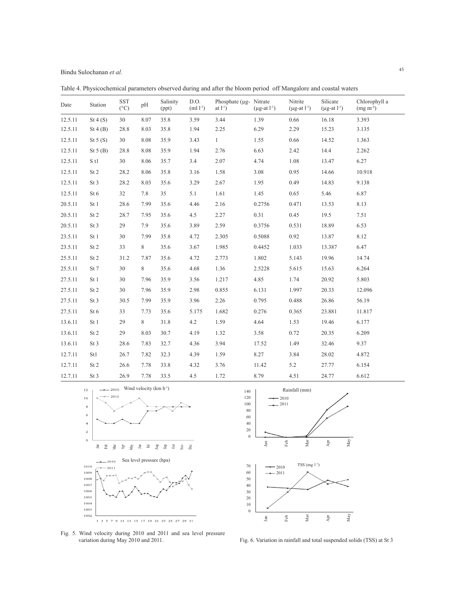Bindu Sulochanan *et al.*

| Date    | Station         | SST<br>$(^{\circ}C)$ | pH   | Salinity<br>(ppt) | D.O.<br>$(ml l^{-1})$ | Phosphate ( $\mu$ g- Nitrate<br>at $l^{-1}$ ) | $(\mu g \text{-} at l^{-1})$ | Nitrite<br>$(\mu g$ -at $l^{-1})$ | Silicate<br>$(\mu g$ -at $l^{-1})$ | Chlorophyll a<br>$(mg m-3)$ |
|---------|-----------------|----------------------|------|-------------------|-----------------------|-----------------------------------------------|------------------------------|-----------------------------------|------------------------------------|-----------------------------|
| 12.5.11 | St4(S)          | 30                   | 8.07 | 35.8              | 3.59                  | 3.44                                          | 1.39                         | 0.66                              | 16.18                              | 3.393                       |
| 12.5.11 | St $4(B)$       | 28.8                 | 8.03 | 35.8              | 1.94                  | 2.25                                          | 6.29                         | 2.29                              | 15.23                              | 3.135                       |
| 12.5.11 | St $5(S)$       | 30                   | 8.08 | 35.9              | 3.43                  | $\mathbf{1}$                                  | 1.55                         | 0.66                              | 14.52                              | 1.363                       |
| 12.5.11 | St $5(B)$       | 28.8                 | 8.08 | 35.9              | 1.94                  | 2.76                                          | 6.63                         | 2.42                              | 14.4                               | 2.262                       |
| 12.5.11 | S <sub>t1</sub> | $30\,$               | 8.06 | 35.7              | $3.4$                 | 2.07                                          | 4.74                         | 1.08                              | 13.47                              | 6.27                        |
| 12.5.11 | St <sub>2</sub> | 28.2                 | 8.06 | 35.8              | 3.16                  | 1.58                                          | 3.08                         | 0.95                              | 14.66                              | 10.918                      |
| 12.5.11 | St 3            | 28.2                 | 8.03 | 35.6              | 3.29                  | 2.67                                          | 1.95                         | 0.49                              | 14.83                              | 9.138                       |
| 12.5.11 | St 6            | 32                   | 7.8  | 35                | 5.1                   | 1.61                                          | 1.45                         | 0.65                              | 5.46                               | 6.87                        |
| 20.5.11 | St 1            | 28.6                 | 7.99 | 35.6              | 4.46                  | 2.16                                          | 0.2756                       | 0.471                             | 13.53                              | 8.13                        |
| 20.5.11 | St <sub>2</sub> | 28.7                 | 7.95 | 35.6              | 4.5                   | 2.27                                          | 0.31                         | 0.45                              | 19.5                               | 7.51                        |
| 20.5.11 | St 3            | 29                   | 7.9  | 35.6              | 3.89                  | 2.59                                          | 0.3756                       | 0.531                             | 18.89                              | 6.53                        |
| 23.5.11 | St 1            | 30                   | 7.99 | 35.8              | 4.72                  | 2.305                                         | 0.5088                       | 0.92                              | 13.87                              | 8.12                        |
| 23.5.11 | St <sub>2</sub> | 33                   | 8    | 35.6              | 3.67                  | 1.985                                         | 0.4452                       | 1.033                             | 13.387                             | 6.47                        |
| 25.5.11 | St <sub>2</sub> | 31.2                 | 7.87 | 35.6              | 4.72                  | 2.773                                         | 1.802                        | 5.143                             | 19.96                              | 14.74                       |
| 25.5.11 | St 7            | 30                   | 8    | 35.6              | 4.68                  | 1.36                                          | 2.5228                       | 5.615                             | 15.63                              | 6.264                       |
| 27.5.11 | St 1            | 30                   | 7.96 | 35.9              | 3.56                  | 1.217                                         | 4.85                         | 1.74                              | 20.92                              | 5.803                       |
| 27.5.11 | St <sub>2</sub> | 30                   | 7.96 | 35.9              | 2.98                  | 0.855                                         | 6.131                        | 1.997                             | 20.33                              | 12.096                      |
| 27.5.11 | St <sub>3</sub> | 30.5                 | 7.99 | 35.9              | 3.96                  | 2.26                                          | 0.795                        | 0.488                             | 26.86                              | 56.19                       |
| 27.5.11 | St 6            | 33                   | 7.73 | 35.6              | 5.175                 | 1.682                                         | 0.276                        | 0.365                             | 23.881                             | 11.817                      |
| 13.6.11 | St 1            | 29                   | 8    | 31.8              | 4.2                   | 1.59                                          | 4.64                         | 1.53                              | 19.46                              | 6.177                       |
| 13.6.11 | St <sub>2</sub> | 29                   | 8.03 | 30.7              | 4.19                  | 1.32                                          | 3.58                         | 0.72                              | 20.35                              | 6.209                       |
| 13.6.11 | St 3            | 28.6                 | 7.83 | 32.7              | 4.36                  | 3.94                                          | 17.52                        | 1.49                              | 32.46                              | 9.37                        |
| 12.7.11 | St1             | 26.7                 | 7.82 | 32.3              | 4.39                  | 1.59                                          | 8.27                         | 3.84                              | 28.02                              | 4.872                       |
| 12.7.11 | St <sub>2</sub> | 26.6                 | 7.78 | 33.8              | 4.32                  | 3.76                                          | 11.42                        | 5.2                               | 27.77                              | 6.154                       |
| 12.7.11 | St <sub>3</sub> | 26.9                 | 7.78 | 33.5              | 4.5                   | 1.72                                          | 8.79                         | 4.51                              | 24.77                              | 6.612                       |

Table 4. Physicochemical parameters observed during and after the bloom period off Mangalore and coastal waters





 $\mathbf 0$ 

Jan

Feb

Fig. 5. Wind velocity during 2010 and 2011 and sea level pressure variation during May 2010 and 2011.

Fig. 6. Variation in rainfall and total suspended solids (TSS) at St 3

Apr

May

Mar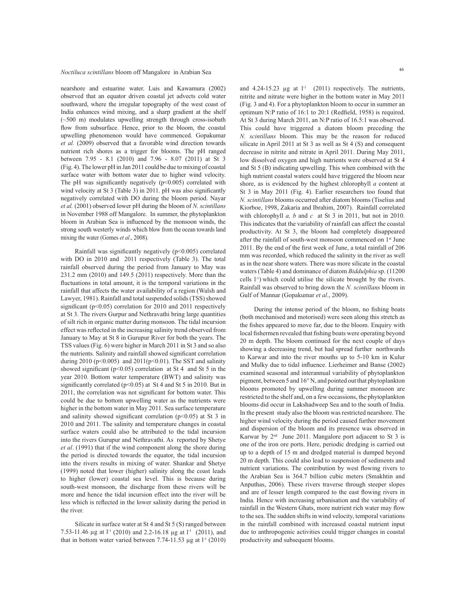## <sup>46</sup> *Noctiluca scintillans* bloom off Mangalore in Arabian Sea

nearshore and estuarine water. Luis and Kawamura (2002) observed that an equator driven coastal jet advects cold water southward, where the irregular topography of the west coast of India enhances wind mixing, and a sharp gradient at the shelf  $(\sim 500 \text{ m})$  modulates upwelling strength through cross-isobath flow from subsurface. Hence, prior to the bloom, the coastal upwelling phenomenon would have commenced. Gopakumar *et al.* (2009) observed that a favorable wind direction towards nutrient rich shores as a trigger for blooms. The pH ranged between 7.95 - 8.1 (2010) and 7.96 - 8.07 (2011) at St 3 (Fig. 4). The lower pH in Jan 2011 could be due to mixing of coastal surface water with bottom water due to higher wind velocity. The pH was significantly negatively  $(p<0.005)$  correlated with wind velocity at St 3 (Table 3) in 2011. pH was also significantly negatively correlated with DO during the bloom period. Nayar *et al.* (2001) observed lower pH during the bloom of *N. scintillans*  in November 1988 off Mangalore. In summer, the phytoplankton bloom in Arabian Sea is influenced by the monsoon winds, the strong south westerly winds which blow from the ocean towards land mixing the water (Gomes *et al*., 2008).

Rainfall was significantly negatively (p<0.005) correlated with DO in 2010 and 2011 respectively (Table 3). The total rainfall observed during the period from January to May was 231.2 mm (2010) and 149.5 (2011) respectively. More than the fluctuations in total amount, it is the temporal variations in the rainfall that affects the water availability of a region (Walsh and Lawyer, 1981). Rainfall and total suspended solids (TSS) showed significant ( $p<0.05$ ) correlation for 2010 and 2011 respectively at St 3. The rivers Gurpur and Nethravathi bring large quantities of silt rich in organic matter during monsoon. The tidal incursion effect was reflected in the increasing salinity trend observed from January to May at St 8 in Gurupur River for both the years. The TSS values (Fig. 6) were higher in March 2011 in St 3 and so also the nutrients. Salinity and rainfall showed significant correlation during 2010 (p<0.005) and 2011(p<0.01). The SST and salinity showed significant ( $p<0.05$ ) correlation at St 4 and St 5 in the year 2010. Bottom water temperature (BWT) and salinity was significantly correlated ( $p$ <0.05) at St 4 and St 5 in 2010. But in 2011, the correlation was not significant for bottom water. This could be due to bottom upwelling water as the nutrients were higher in the bottom water in May 2011. Sea surface temperature and salinity showed significant correlation ( $p$ <0.05) at St 3 in 2010 and 2011. The salinity and temperature changes in coastal surface waters could also be attributed to the tidal incursion into the rivers Gurupur and Nethravathi. As reported by Shetye *et al*. (1991) that if the wind component along the shore during the period is directed towards the equator, the tidal incursion into the rivers results in mixing of water. Shankar and Shetye (1999) noted that lower (higher) salinity along the coast leads to higher (lower) coastal sea level. This is because during south-west monsoon, the discharge from these rivers will be more and hence the tidal incursion effect into the river will be less which is reflected in the lower salinity during the period in the river.

Silicate in surface water at St 4 and St 5 (S) ranged between 7.53-11.46 µg at l<sup>-1</sup> (2010) and 2.2-16.18 µg at l<sup>-1</sup> (2011), and that in bottom water varied between 7.74-11.53  $\mu$ g at l<sup>-1</sup> (2010)

and  $4.24-15.23$  µg at  $l<sup>-1</sup>$  (2011) respectively. The nutrients, nitrite and nitrate were higher in the bottom water in May 2011 (Fig. 3 and 4). For a phytoplankton bloom to occur in summer an optimum N:P ratio of 16:1 to 20:1 (Redfield, 1958) is required. At St 3 during March 2011, an N:P ratio of 16.5:1 was observed. This could have triggered a diatom bloom preceding the *N. scintillans* bloom. This may be the reason for reduced silicate in April 2011 at St 3 as well as St 4 (S) and consequent decrease in nitrite and nitrate in April 2011. During May 2011, low dissolved oxygen and high nutrients were observed at St 4 and St 5 (B) indicating upwelling. This when combined with the high nutrient coastal waters could have triggered the bloom near shore, as is evidenced by the highest chlorophyll *a* content at St 3 in May 2011 (Fig. 4). Earlier researchers too found that *N. scintillans* blooms occurred after diatom blooms (Tiselius and Kiorboe, 1998, Zakaria and Ibrahim, 2007). Rainfall correlated with chlorophyll *a, b* and *c* at St 3 in 2011, but not in 2010. This indicates that the variability of rainfall can affect the coastal productivity. At St 3, the bloom had completely disappeared after the rainfall of south-west monsoon commenced on 1st June 2011. By the end of the first week of June, a total rainfall of 206 mm was recorded, which reduced the salinity in the river as well as in the near shore waters. There was more silicate in the coastal waters (Table 4) and dominance of diatom *Biddulphia* sp. (11200 cells l-1) which could utilise the silicate brought by the rivers. Rainfall was observed to bring down the *N. scintillans* bloom in Gulf of Mannar (Gopakumar *et al*., 2009).

During the intense period of the bloom, no fishing boats (both mechanised and motorised) were seen along this stretch as the fishes appeared to move far, due to the bloom. Enquiry with local fishermen revealed that fishing boats were operating beyond 20 m depth. The bloom continued for the next couple of days showing a decreasing trend, but had spread further northwards to Karwar and into the river mouths up to 5-10 km in Kulur and Mulky due to tidal influence. Lierheimer and Banse (2002) examined seasonal and interannual variability of phytoplankton pigment, between 5 and 16° N, and pointed out that phytoplankton blooms promoted by upwelling during summer monsoon are restricted to the shelf and, on a few occassions, the phytoplankton blooms did occur in Lakshadweep Sea and to the south of India. In the present study also the bloom was restricted nearshore. The higher wind velocity during the period caused further movement and dispersion of the bloom and its presence was observed in Karwar by 2<sup>nd</sup> June 2011. Mangalore port adjacent to St 3 is one of the iron ore ports. Here, periodic dredging is carried out up to a depth of 15 m and dredged material is dumped beyond 20 m depth. This could also lead to suspension of sediments and nutrient variations. The contribution by west flowing rivers to the Arabian Sea is 364.7 billion cubic meters (Smakhtin and Anputhas, 2006). These rivers traverse through steeper slopes and are of lesser length compared to the east flowing rivers in India. Hence with increasing urbanisation and the variability of rainfall in the Western Ghats, more nutrient rich water may flow to the sea. The sudden shifts in wind velocity, temporal variations in the rainfall combined with increased coastal nutrient input due to anthropogenic activities could trigger changes in coastal productivity and subsequent blooms.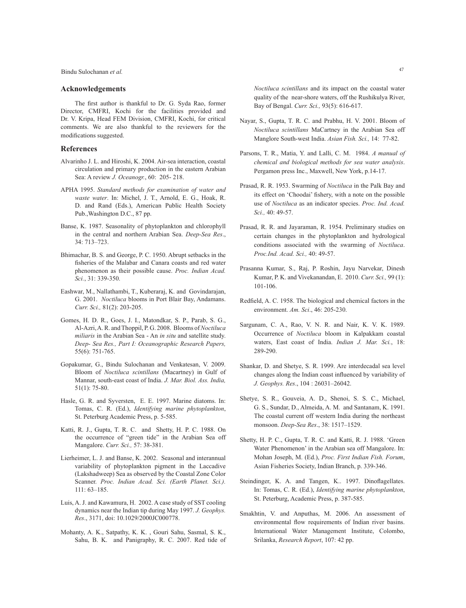<sup>47</sup> Bindu Sulochanan *et al.*

#### **Acknowledgements**

The first author is thankful to Dr. G. Syda Rao, former Director, CMFRI, Kochi for the facilities provided and Dr. V. Kripa, Head FEM Division, CMFRI, Kochi, for critical comments. We are also thankful to the reviewers for the modifications suggested.

#### **References**

- Alvarinho J. L. and Hiroshi, K. 2004. Air-sea interaction, coastal circulation and primary production in the eastern Arabian Sea: A review *J. Oceanogr.*, 60: 205- 218.
- APHA 1995. *Standard methods for examination of water and waste water*. In: Michel, J. T., Arnold, E. G., Hoak, R. D. and Rand (Eds.), American Public Health Society Pub.,Washington D.C., 87 pp.
- Banse, K. 1987. Seasonality of phytoplankton and chlorophyll in the central and northern Arabian Sea. *Deep-Sea Res*., 34: 713–723.
- Bhimachar, B. S. and George, P. C. 1950. Abrupt setbacks in the fisheries of the Malabar and Canara coasts and red water phenomenon as their possible cause. *Proc. Indian Acad. Sci.*, 31: 339-350.
- Eashwar, M., Nallathambi, T., Kuberaraj, K. and Govindarajan, G. 2001. *Noctiluca* blooms in Port Blair Bay, Andamans. *Curr. Sci.,* 81(2): 203-205.
- Gomes, H. D. R., Goes, J. I., Matondkar, S. P., Parab, S. G., Al-Azri, A. R. and Thoppil, P. G. 2008. Blooms of *Noctiluca miliaris* in the Arabian Sea - An *in situ* and satellite study. *Deep- Sea Res., Part I: Oceanographic Research Papers,* 55(6): 751-765.
- Gopakumar, G., Bindu Sulochanan and Venkatesan, V. 2009. Bloom of *Noctiluca scintillans* (Macartney) in Gulf of Mannar, south-east coast of India. *J. Mar. Biol. Ass. India,*  51(1): 75-80.
- Hasle, G. R. and Syversten, E. E. 1997. Marine diatoms. In: Tomas, C. R. (Ed.), *Identifying marine phytoplankton*, St. Peterburg Academic Press, p. 5-585.
- Katti, R. J., Gupta, T. R. C. and Shetty, H. P. C. 1988. On the occurrence of "green tide" in the Arabian Sea off Mangalore. *Curr. Sci.,* 57: 38-381.
- Lierheimer, L. J. and Banse, K. 2002. Seasonal and interannual variability of phytoplankton pigment in the Laccadive (Lakshadweep) Sea as observed by the Coastal Zone Color Scanner. *Proc. Indian Acad. Sci. (Earth Planet. Sci.).* 111: 63–185.
- Luis, A. J. and Kawamura, H. 2002. A case study of SST cooling dynamics near the Indian tip during May 1997. *J. Geophys. Res*., 3171, doi: 10.1029/2000JC000778.
- Mohanty, A. K., Satpathy, K. K. , Gouri Sahu, Sasmal, S. K., Sahu, B. K. and Panigraphy, R. C. 2007. Red tide of

*Noctiluca scintillans* and its impact on the coastal water quality of the near-shore waters, off the Rushikulya River, Bay of Bengal. *Curr. Sci.,* 93(5): 616-617.

- Nayar, S., Gupta, T. R. C. and Prabhu, H. V. 2001. Bloom of *Noctiluca scintillans* MaCartney in the Arabian Sea off Manglore South-west India. *Asian Fish. Sci.,* 14: 77-82.
- Parsons, T. R., Matia, Y. and Lalli, C. M. 1984. *A manual of chemical and biological methods for sea water analysis*. Pergamon press Inc., Maxwell, New York, p.14-17.
- Prasad, R. R. 1953. Swarming of *Noctiluca* in the Palk Bay and its effect on 'Choodai' fishery, with a note on the possible use of *Noctiluca* as an indicator species. *Proc. Ind. Acad. Sci.,* 40: 49-57.
- Prasad, R. R. and Jayaraman, R. 1954. Preliminary studies on certain changes in the phytoplankton and hydrological conditions associated with the swarming of *Noctiluca*. *Proc.Ind. Acad. Sci.,* 40: 49-57.
- Prasanna Kumar, S., Raj, P. Roshin, Jayu Narvekar, Dinesh Kumar, P. K. and Vivekanandan, E. 2010. *Curr. Sci.,* 99 (1): 101-106.
- Redfield, A. C. 1958. The biological and chemical factors in the environment. *Am. Sci*., 46: 205-230.
- Sargunam, C. A., Rao, V. N. R. and Nair, K. V. K. 1989. Occurrence of *Noctiluca* bloom in Kalpakkam coastal waters, East coast of India. *Indian J. Mar. Sci.*, 18: 289-290.
- Shankar, D. and Shetye, S. R. 1999. Are interdecadal sea level changes along the Indian coast influenced by variability of *J. Geophys. Res*., 104 : 26031–26042.
- Shetye, S. R., Gouveia, A. D., Shenoi, S. S. C., Michael, G. S., Sundar, D., Almeida, A. M. and Santanam, K. 1991. The coastal current off western India during the northeast monsoon. *Deep-Sea Res*., 38: 1517–1529.
- Shetty, H. P. C., Gupta, T. R. C. and Katti, R. J. 1988. 'Green Water Phenomenon' in the Arabian sea off Mangalore. In: Mohan Joseph, M. (Ed.), *Proc. First Indian Fish. Forum*, Asian Fisheries Society, Indian Branch, p. 339-346.
- Steindinger, K. A. and Tangen, K.. 1997. Dinoflagellates. In: Tomas, C. R. (Ed.), *Identifying marine phytoplankton*, St. Peterburg, Academic Press, p. 387-585.
- Smakhtin, V. and Anputhas, M. 2006. An assessment of environmental flow requirements of Indian river basins. International Water Management Institute, Colombo, Srilanka, *Research Report*, 107: 42 pp.